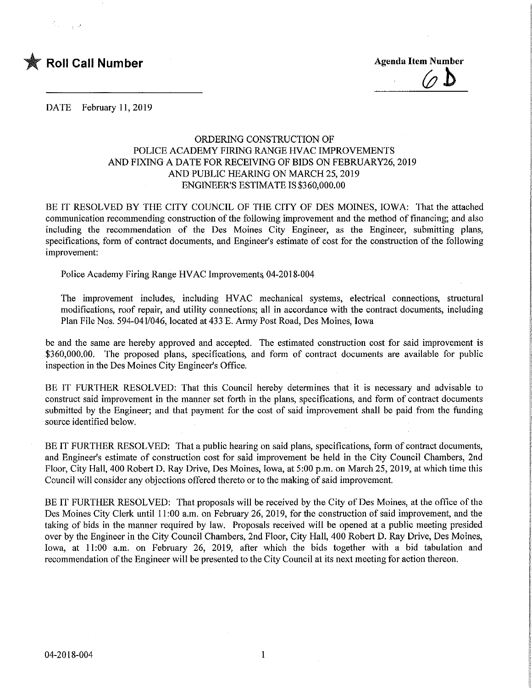

DATE February 11, 2019

## ORDERING CONSTRUCTION OF POLICE ACADEMY FIRING RANGE HVAC IMPROVEMENTS AND FIXING A DATE FOR RECEIVING OF BIDS ON FEBRUARY26, 2019 AND PUBLIC HEARING ON MARCH 25,2019 ENGINEER'S ESTIMATE IS \$360,000.00

BE IT RESOLVED BY THE CITY COUNCIL OF THE CITY OF DES MOINES, IOWA: That the attached communication recommending construction of the following improvement and the method of financing; and also including the recommendation of the Des Moines City Engineer, as the Engineer, submitting plans, specifications, form of contract documents, and Engineer's estimate of cost for the construction of the following improvement:

Police Academy Firing Range HVAC Improvement^ 04-2018-004

The improvement includes, including HVAC mechanical systems, electrical connections, structural modifications, roof repair, and utility connections; all in accordance with the contract documents, including Plan File Nos. 594-041/046, located at 433 E. Army Post Road, Des Moines, Iowa

be and the same are hereby approved and accepted. The estimated construction cost for said improvement is \$360,000.00. The proposed plans, specifications, and form of contract documents are available for public inspection in the Des Moines City Engineer's Office.

BE IT FURTHER RESOLVED: That this Council hereby determines that it is necessary and advisable to construct said improvement in the manner set forth in the plans, specifications, and form of contract documents submitted by the Engineer; and that payment for the cost of said improvement shall be paid from the funding source identified below.

BE IT FURTHER RESOLVED: That a public hearing on said plans, specifications, form of contract documents, and Engineer's estimate of construction cost for said improvement be held in the City Council Chambers, 2nd Floor, City Hall, 400 Robert D. Ray Drive, Des Moines, Iowa, at 5:00 p.m. on March 25, 2019, at which time this Council will consider any objections offered thereto or to the making of said improvement.

BE IT FURTHER RESOLVED: That proposals will be received by the City of Des Moines, at the office of the Des Moines City Clerk until 11:00 a.m. on February 26, 2019, for the construction of said improvement, and the taking of bids in the manner required by law. Proposals received will be opened at a public meeting presided over by the Engineer in the City Council Chambers, 2nd Floor, City Hall, 400 Robert D. Ray Drive, Des Moines, Iowa, at 11:00 a.m. on February 26, 2019, after which the bids together with a bid tabulation and recommendation of the Engineer will be presented to the City Council at its next meeting for action thereon.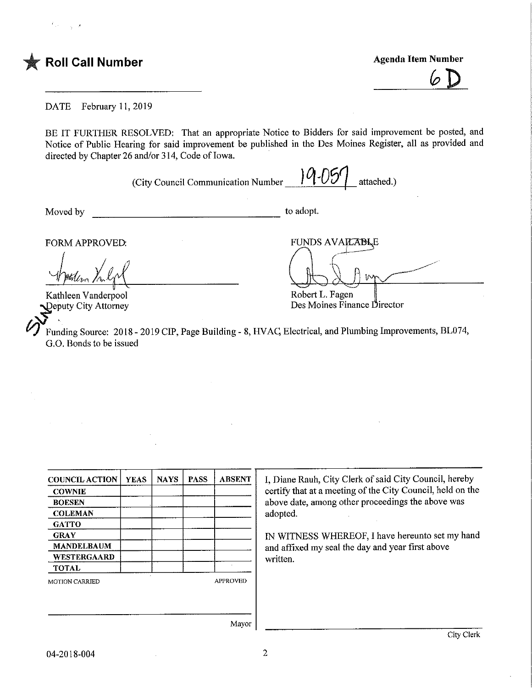



DATE February 11, 2019

BE IT FURTHER RESOLVED: That an appropriate Notice to Bidders for said improvement be posted, and Notice of Public Hearing for said improvement be published in the Des Moines Register, all as provided and directed by Chapter 26 and/or 314, Code of Iowa.

(City Council Communication Number  $\| 0.05 \|$  attached.)

Moved by to adopt.

Robert L. Fagen

Des Moines Finance Director

FORM APPROVED: THE RESERVED FUNDS AVAILABLE

Kathleen Vanderpool )eputy City Attorney

Funding Source: 2018 - 2019 CIP, Page Building - 8, HVAQ Electrical, and Plumbing Improvements, BL074, G.O. Bonds to be issued

COUNCIL ACTION **COWNIE** BOESEN **COLEMAN** GATTO **GRAY** MANDELBAUM WESTERGAARD TOTAL YEAS | NAYS | PASS | ABSENT MOTION CARRIED APPROVED I, Diane Rauh, City Clerk of said City Council, hereby certify that at a meeting of the City Council, held on the above date, among other proceedings the above was adopted. IN WITNESS WHEREOF, I have hereunto set my hand and affixed my seal the day and year first above written.

Mayor